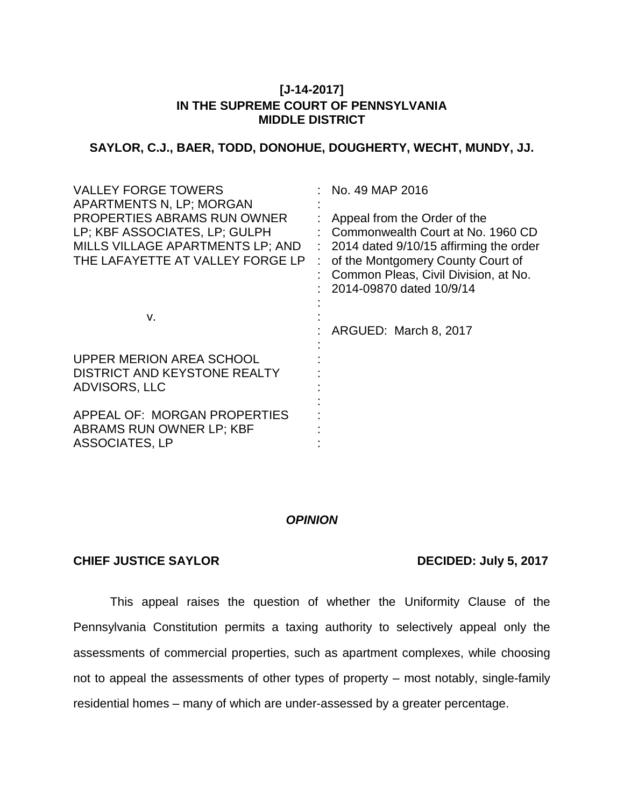# **[J-14-2017] IN THE SUPREME COURT OF PENNSYLVANIA MIDDLE DISTRICT**

# **SAYLOR, C.J., BAER, TODD, DONOHUE, DOUGHERTY, WECHT, MUNDY, JJ.**

| <b>VALLEY FORGE TOWERS</b><br><b>APARTMENTS N, LP; MORGAN</b><br>PROPERTIES ABRAMS RUN OWNER<br>LP; KBF ASSOCIATES, LP; GULPH<br>MILLS VILLAGE APARTMENTS LP; AND<br>THE LAFAYETTE AT VALLEY FORGE LP | No. 49 MAP 2016<br>Appeal from the Order of the<br>Commonwealth Court at No. 1960 CD<br>2014 dated 9/10/15 affirming the order<br>of the Montgomery County Court of<br>Common Pleas, Civil Division, at No.<br>2014-09870 dated 10/9/14 |
|-------------------------------------------------------------------------------------------------------------------------------------------------------------------------------------------------------|-----------------------------------------------------------------------------------------------------------------------------------------------------------------------------------------------------------------------------------------|
| V.                                                                                                                                                                                                    | ARGUED: March 8, 2017                                                                                                                                                                                                                   |
| UPPER MERION AREA SCHOOL<br>DISTRICT AND KEYSTONE REALTY<br>ADVISORS, LLC                                                                                                                             |                                                                                                                                                                                                                                         |
| APPEAL OF: MORGAN PROPERTIES<br>ABRAMS RUN OWNER LP; KBF<br><b>ASSOCIATES, LP</b>                                                                                                                     |                                                                                                                                                                                                                                         |

# *OPINION*

# **CHIEF JUSTICE SAYLOR DECIDED: July 5, 2017**

This appeal raises the question of whether the Uniformity Clause of the Pennsylvania Constitution permits a taxing authority to selectively appeal only the assessments of commercial properties, such as apartment complexes, while choosing not to appeal the assessments of other types of property – most notably, single-family residential homes – many of which are under-assessed by a greater percentage.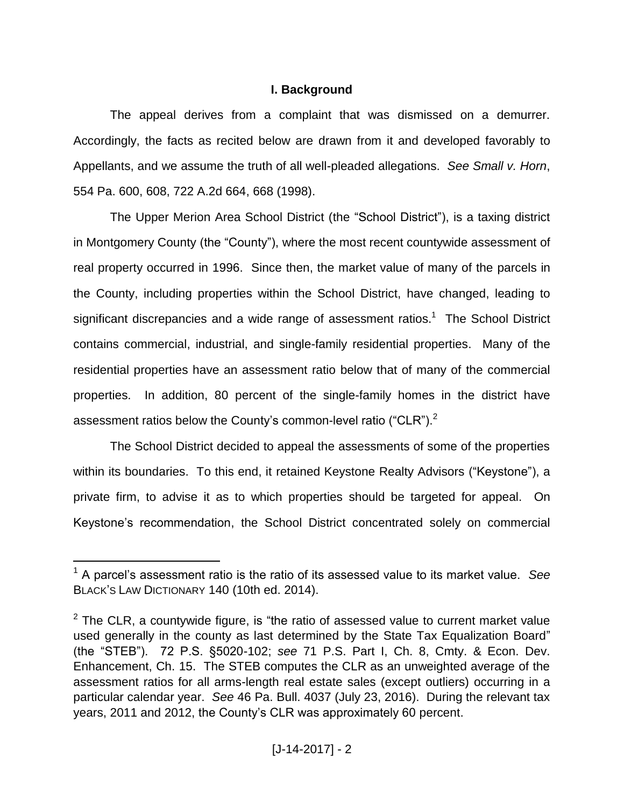# **I. Background**

The appeal derives from a complaint that was dismissed on a demurrer. Accordingly, the facts as recited below are drawn from it and developed favorably to Appellants, and we assume the truth of all well-pleaded allegations. *See Small v. Horn*, 554 Pa. 600, 608, 722 A.2d 664, 668 (1998).

The Upper Merion Area School District (the "School District"), is a taxing district in Montgomery County (the "County"), where the most recent countywide assessment of real property occurred in 1996. Since then, the market value of many of the parcels in the County, including properties within the School District, have changed, leading to significant discrepancies and a wide range of assessment ratios.<sup>1</sup> The School District contains commercial, industrial, and single-family residential properties. Many of the residential properties have an assessment ratio below that of many of the commercial properties. In addition, 80 percent of the single-family homes in the district have assessment ratios below the County's common-level ratio ("CLR").<sup>2</sup>

The School District decided to appeal the assessments of some of the properties within its boundaries. To this end, it retained Keystone Realty Advisors ("Keystone"), a private firm, to advise it as to which properties should be targeted for appeal. On Keystone's recommendation, the School District concentrated solely on commercial

<sup>1</sup> A parcel's assessment ratio is the ratio of its assessed value to its market value. *See* BLACK'S LAW DICTIONARY 140 (10th ed. 2014).

 $2$  The CLR, a countywide figure, is "the ratio of assessed value to current market value used generally in the county as last determined by the State Tax Equalization Board" (the "STEB"). 72 P.S. §5020-102; *see* 71 P.S. Part I, Ch. 8, Cmty. & Econ. Dev. Enhancement, Ch. 15. The STEB computes the CLR as an unweighted average of the assessment ratios for all arms-length real estate sales (except outliers) occurring in a particular calendar year. *See* 46 Pa. Bull. 4037 (July 23, 2016). During the relevant tax years, 2011 and 2012, the County's CLR was approximately 60 percent.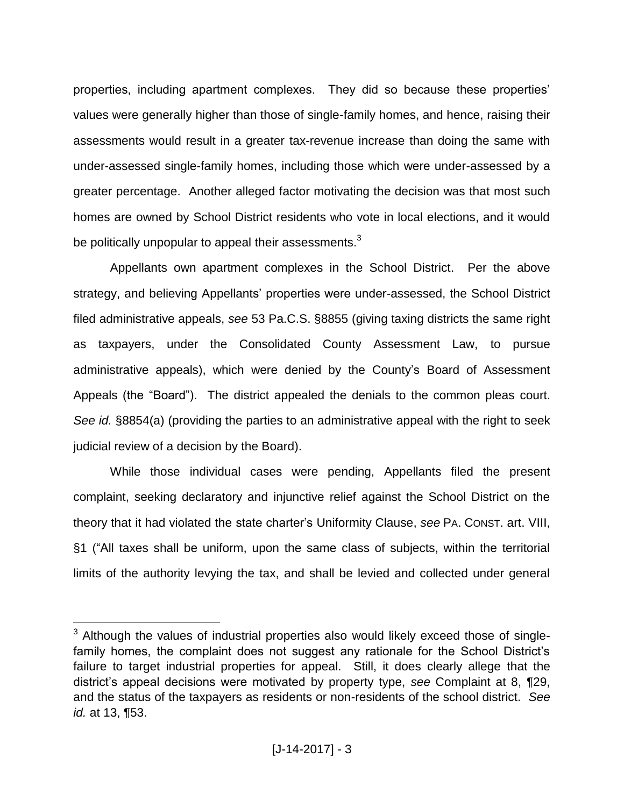properties, including apartment complexes. They did so because these properties' values were generally higher than those of single-family homes, and hence, raising their assessments would result in a greater tax-revenue increase than doing the same with under-assessed single-family homes, including those which were under-assessed by a greater percentage. Another alleged factor motivating the decision was that most such homes are owned by School District residents who vote in local elections, and it would be politically unpopular to appeal their assessments. $^3$ 

Appellants own apartment complexes in the School District. Per the above strategy, and believing Appellants' properties were under-assessed, the School District filed administrative appeals, *see* 53 Pa.C.S. §8855 (giving taxing districts the same right as taxpayers, under the Consolidated County Assessment Law, to pursue administrative appeals), which were denied by the County's Board of Assessment Appeals (the "Board"). The district appealed the denials to the common pleas court. *See id.* §8854(a) (providing the parties to an administrative appeal with the right to seek judicial review of a decision by the Board).

While those individual cases were pending, Appellants filed the present complaint, seeking declaratory and injunctive relief against the School District on the theory that it had violated the state charter's Uniformity Clause, *see* PA. CONST. art. VIII, §1 ("All taxes shall be uniform, upon the same class of subjects, within the territorial limits of the authority levying the tax, and shall be levied and collected under general

<sup>&</sup>lt;sup>3</sup> Although the values of industrial properties also would likely exceed those of singlefamily homes, the complaint does not suggest any rationale for the School District's failure to target industrial properties for appeal. Still, it does clearly allege that the district's appeal decisions were motivated by property type, *see* Complaint at 8, ¶29, and the status of the taxpayers as residents or non-residents of the school district. *See id.* at 13, ¶53.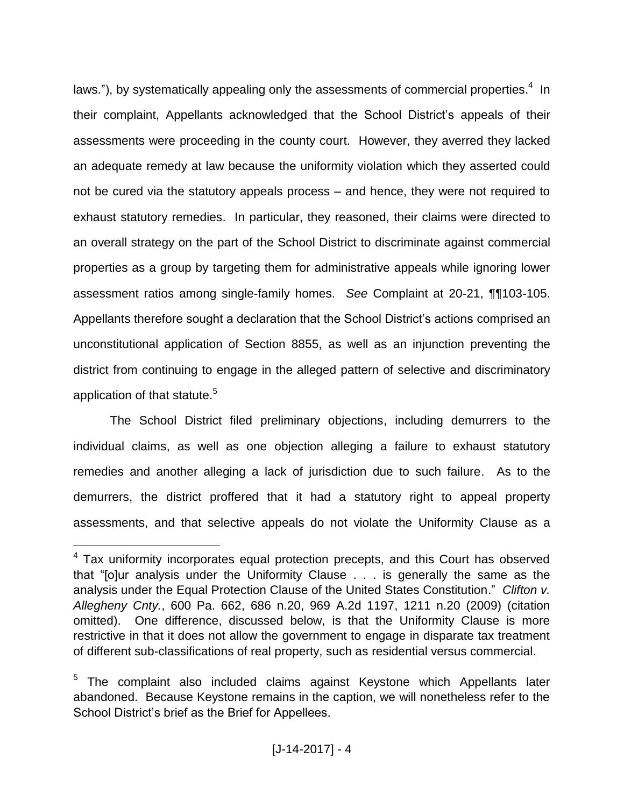laws."), by systematically appealing only the assessments of commercial properties. $4$  In their complaint, Appellants acknowledged that the School District's appeals of their assessments were proceeding in the county court. However, they averred they lacked an adequate remedy at law because the uniformity violation which they asserted could not be cured via the statutory appeals process – and hence, they were not required to exhaust statutory remedies. In particular, they reasoned, their claims were directed to an overall strategy on the part of the School District to discriminate against commercial properties as a group by targeting them for administrative appeals while ignoring lower assessment ratios among single-family homes. *See* Complaint at 20-21, ¶¶103-105. Appellants therefore sought a declaration that the School District's actions comprised an unconstitutional application of Section 8855, as well as an injunction preventing the district from continuing to engage in the alleged pattern of selective and discriminatory application of that statute.<sup>5</sup>

The School District filed preliminary objections, including demurrers to the individual claims, as well as one objection alleging a failure to exhaust statutory remedies and another alleging a lack of jurisdiction due to such failure. As to the demurrers, the district proffered that it had a statutory right to appeal property assessments, and that selective appeals do not violate the Uniformity Clause as a

<sup>&</sup>lt;sup>4</sup> Tax uniformity incorporates equal protection precepts, and this Court has observed that "[o]ur analysis under the Uniformity Clause . . . is generally the same as the analysis under the Equal Protection Clause of the United States Constitution." *Clifton v. Allegheny Cnty.*, 600 Pa. 662, 686 n.20, 969 A.2d 1197, 1211 n.20 (2009) (citation omitted). One difference, discussed below, is that the Uniformity Clause is more restrictive in that it does not allow the government to engage in disparate tax treatment of different sub-classifications of real property, such as residential versus commercial.

<sup>&</sup>lt;sup>5</sup> The complaint also included claims against Keystone which Appellants later abandoned. Because Keystone remains in the caption, we will nonetheless refer to the School District's brief as the Brief for Appellees.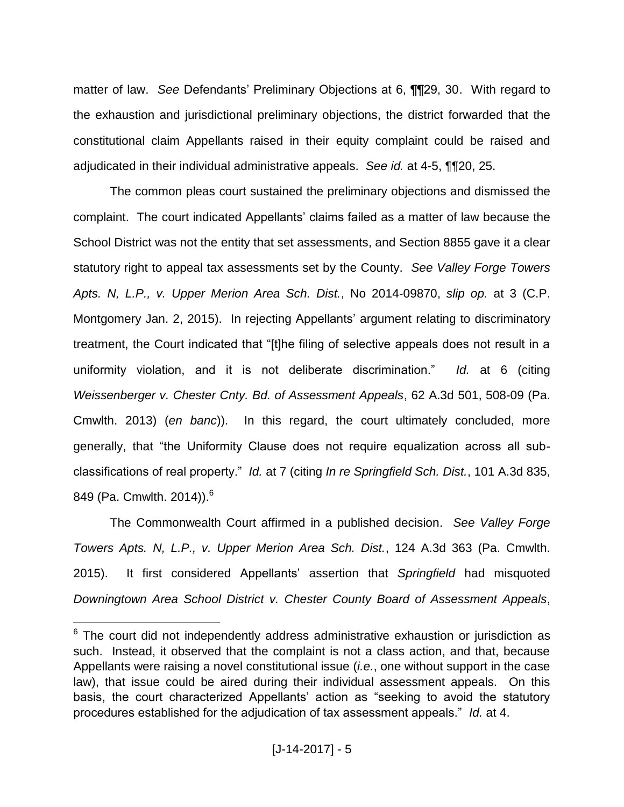matter of law. *See* Defendants' Preliminary Objections at 6, ¶¶29, 30. With regard to the exhaustion and jurisdictional preliminary objections, the district forwarded that the constitutional claim Appellants raised in their equity complaint could be raised and adjudicated in their individual administrative appeals. *See id.* at 4-5, ¶¶20, 25.

The common pleas court sustained the preliminary objections and dismissed the complaint. The court indicated Appellants' claims failed as a matter of law because the School District was not the entity that set assessments, and Section 8855 gave it a clear statutory right to appeal tax assessments set by the County. *See Valley Forge Towers Apts. N, L.P., v. Upper Merion Area Sch. Dist.*, No 2014-09870, *slip op.* at 3 (C.P. Montgomery Jan. 2, 2015). In rejecting Appellants' argument relating to discriminatory treatment, the Court indicated that "[t]he filing of selective appeals does not result in a uniformity violation, and it is not deliberate discrimination." *Id.* at 6 (citing *Weissenberger v. Chester Cnty. Bd. of Assessment Appeals*, 62 A.3d 501, 508-09 (Pa. Cmwlth. 2013) (*en banc*)). In this regard, the court ultimately concluded, more generally, that "the Uniformity Clause does not require equalization across all subclassifications of real property." *Id.* at 7 (citing *In re Springfield Sch. Dist.*, 101 A.3d 835, 849 (Pa. Cmwlth. 2014)).<sup>6</sup>

The Commonwealth Court affirmed in a published decision. *See Valley Forge Towers Apts. N, L.P., v. Upper Merion Area Sch. Dist.*, 124 A.3d 363 (Pa. Cmwlth. 2015). It first considered Appellants' assertion that *Springfield* had misquoted *Downingtown Area School District v. Chester County Board of Assessment Appeals*,

 $6$  The court did not independently address administrative exhaustion or jurisdiction as such. Instead, it observed that the complaint is not a class action, and that, because Appellants were raising a novel constitutional issue (*i.e.*, one without support in the case law), that issue could be aired during their individual assessment appeals. On this basis, the court characterized Appellants' action as "seeking to avoid the statutory procedures established for the adjudication of tax assessment appeals." *Id.* at 4.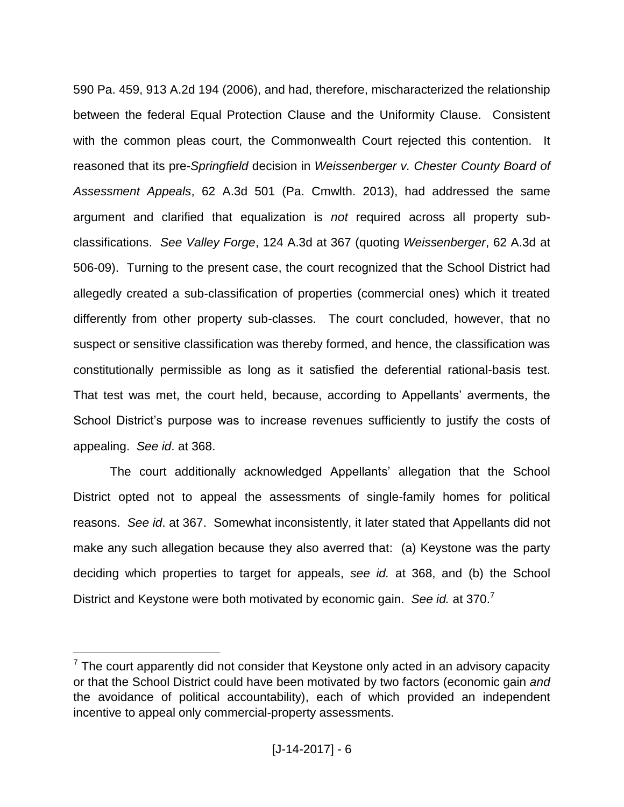590 Pa. 459, 913 A.2d 194 (2006), and had, therefore, mischaracterized the relationship between the federal Equal Protection Clause and the Uniformity Clause. Consistent with the common pleas court, the Commonwealth Court rejected this contention. It reasoned that its pre-*Springfield* decision in *Weissenberger v. Chester County Board of Assessment Appeals*, 62 A.3d 501 (Pa. Cmwlth. 2013), had addressed the same argument and clarified that equalization is *not* required across all property subclassifications. *See Valley Forge*, 124 A.3d at 367 (quoting *Weissenberger*, 62 A.3d at 506-09). Turning to the present case, the court recognized that the School District had allegedly created a sub-classification of properties (commercial ones) which it treated differently from other property sub-classes. The court concluded, however, that no suspect or sensitive classification was thereby formed, and hence, the classification was constitutionally permissible as long as it satisfied the deferential rational-basis test. That test was met, the court held, because, according to Appellants' averments, the School District's purpose was to increase revenues sufficiently to justify the costs of appealing. *See id*. at 368.

The court additionally acknowledged Appellants' allegation that the School District opted not to appeal the assessments of single-family homes for political reasons. *See id*. at 367. Somewhat inconsistently, it later stated that Appellants did not make any such allegation because they also averred that: (a) Keystone was the party deciding which properties to target for appeals, *see id.* at 368, and (b) the School District and Keystone were both motivated by economic gain. *See id.* at 370.<sup>7</sup>

 $7$  The court apparently did not consider that Keystone only acted in an advisory capacity or that the School District could have been motivated by two factors (economic gain *and* the avoidance of political accountability), each of which provided an independent incentive to appeal only commercial-property assessments.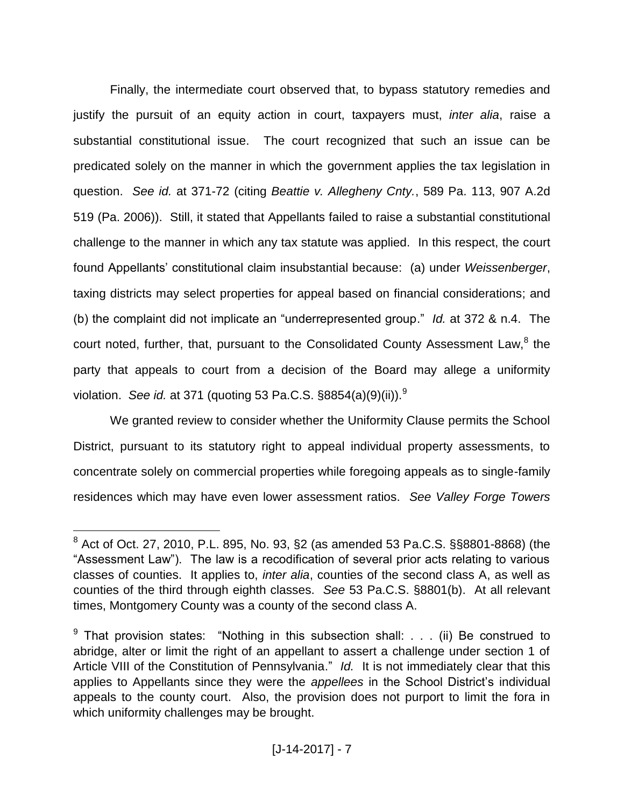Finally, the intermediate court observed that, to bypass statutory remedies and justify the pursuit of an equity action in court, taxpayers must, *inter alia*, raise a substantial constitutional issue. The court recognized that such an issue can be predicated solely on the manner in which the government applies the tax legislation in question. *See id.* at 371-72 (citing *Beattie v. Allegheny Cnty.*, 589 Pa. 113, 907 A.2d 519 (Pa. 2006)). Still, it stated that Appellants failed to raise a substantial constitutional challenge to the manner in which any tax statute was applied. In this respect, the court found Appellants' constitutional claim insubstantial because: (a) under *Weissenberger*, taxing districts may select properties for appeal based on financial considerations; and (b) the complaint did not implicate an "underrepresented group." *Id.* at 372 & n.4. The court noted, further, that, pursuant to the Consolidated County Assessment Law,<sup>8</sup> the party that appeals to court from a decision of the Board may allege a uniformity violation. *See id.* at 371 (quoting 53 Pa.C.S. §8854(a)(9)(ii)).<sup>9</sup>

We granted review to consider whether the Uniformity Clause permits the School District, pursuant to its statutory right to appeal individual property assessments, to concentrate solely on commercial properties while foregoing appeals as to single-family residences which may have even lower assessment ratios. *See Valley Forge Towers* 

<sup>8</sup> Act of Oct. 27, 2010, P.L. 895, No. 93, §2 (as amended 53 Pa.C.S. §§8801-8868) (the "Assessment Law"). The law is a recodification of several prior acts relating to various classes of counties. It applies to, *inter alia*, counties of the second class A, as well as counties of the third through eighth classes. *See* 53 Pa.C.S. §8801(b). At all relevant times, Montgomery County was a county of the second class A.

<sup>&</sup>lt;sup>9</sup> That provision states: "Nothing in this subsection shall: . . . (ii) Be construed to abridge, alter or limit the right of an appellant to assert a challenge under section 1 of Article VIII of the Constitution of Pennsylvania." *Id.* It is not immediately clear that this applies to Appellants since they were the *appellees* in the School District's individual appeals to the county court. Also, the provision does not purport to limit the fora in which uniformity challenges may be brought.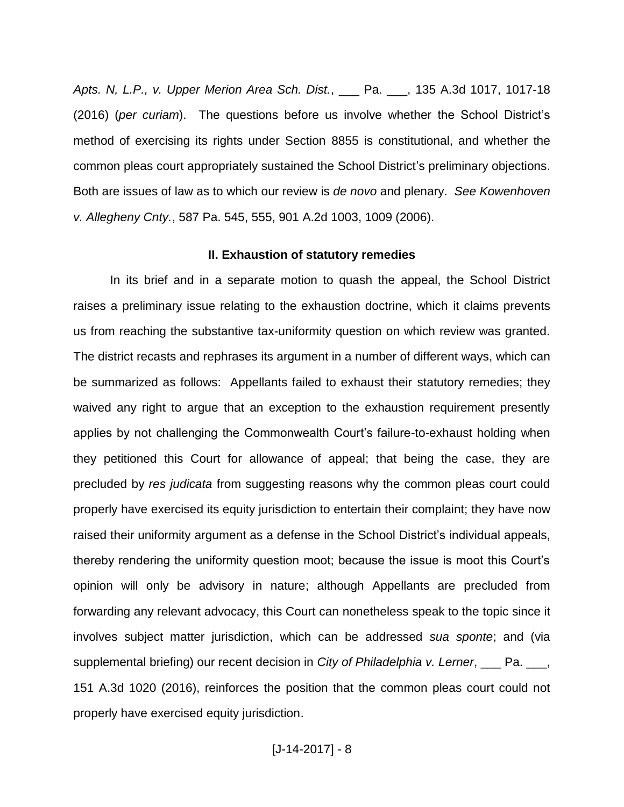*Apts. N, L.P., v. Upper Merion Area Sch. Dist.*, \_\_\_ Pa. \_\_\_, 135 A.3d 1017, 1017-18 (2016) (*per curiam*). The questions before us involve whether the School District's method of exercising its rights under Section 8855 is constitutional, and whether the common pleas court appropriately sustained the School District's preliminary objections. Both are issues of law as to which our review is *de novo* and plenary. *See Kowenhoven v. Allegheny Cnty.*, 587 Pa. 545, 555, 901 A.2d 1003, 1009 (2006).

### **II. Exhaustion of statutory remedies**

In its brief and in a separate motion to quash the appeal, the School District raises a preliminary issue relating to the exhaustion doctrine, which it claims prevents us from reaching the substantive tax-uniformity question on which review was granted. The district recasts and rephrases its argument in a number of different ways, which can be summarized as follows: Appellants failed to exhaust their statutory remedies; they waived any right to argue that an exception to the exhaustion requirement presently applies by not challenging the Commonwealth Court's failure-to-exhaust holding when they petitioned this Court for allowance of appeal; that being the case, they are precluded by *res judicata* from suggesting reasons why the common pleas court could properly have exercised its equity jurisdiction to entertain their complaint; they have now raised their uniformity argument as a defense in the School District's individual appeals, thereby rendering the uniformity question moot; because the issue is moot this Court's opinion will only be advisory in nature; although Appellants are precluded from forwarding any relevant advocacy, this Court can nonetheless speak to the topic since it involves subject matter jurisdiction, which can be addressed *sua sponte*; and (via supplemental briefing) our recent decision in *City of Philadelphia v. Lerner*, \_\_\_ Pa. \_\_\_, 151 A.3d 1020 (2016), reinforces the position that the common pleas court could not properly have exercised equity jurisdiction.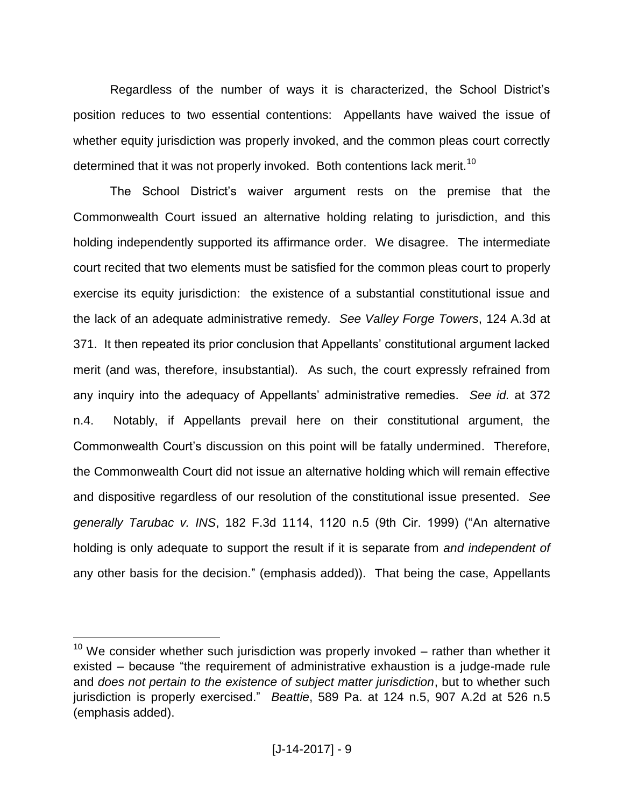Regardless of the number of ways it is characterized, the School District's position reduces to two essential contentions: Appellants have waived the issue of whether equity jurisdiction was properly invoked, and the common pleas court correctly determined that it was not properly invoked. Both contentions lack merit.<sup>10</sup>

The School District's waiver argument rests on the premise that the Commonwealth Court issued an alternative holding relating to jurisdiction, and this holding independently supported its affirmance order. We disagree. The intermediate court recited that two elements must be satisfied for the common pleas court to properly exercise its equity jurisdiction: the existence of a substantial constitutional issue and the lack of an adequate administrative remedy. *See Valley Forge Towers*, 124 A.3d at 371. It then repeated its prior conclusion that Appellants' constitutional argument lacked merit (and was, therefore, insubstantial). As such, the court expressly refrained from any inquiry into the adequacy of Appellants' administrative remedies. *See id.* at 372 n.4. Notably, if Appellants prevail here on their constitutional argument, the Commonwealth Court's discussion on this point will be fatally undermined. Therefore, the Commonwealth Court did not issue an alternative holding which will remain effective and dispositive regardless of our resolution of the constitutional issue presented. *See generally Tarubac v. INS*, 182 F.3d 1114, 1120 n.5 (9th Cir. 1999) ("An alternative holding is only adequate to support the result if it is separate from *and independent of* any other basis for the decision." (emphasis added)). That being the case, Appellants

 $10$  We consider whether such jurisdiction was properly invoked – rather than whether it existed – because "the requirement of administrative exhaustion is a judge-made rule and *does not pertain to the existence of subject matter jurisdiction*, but to whether such jurisdiction is properly exercised." *Beattie*, 589 Pa. at 124 n.5, 907 A.2d at 526 n.5 (emphasis added).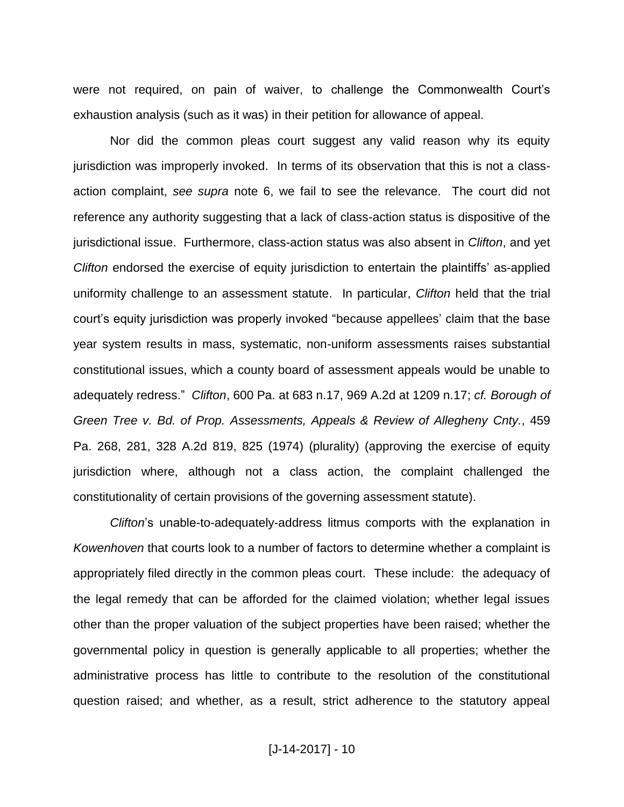were not required, on pain of waiver, to challenge the Commonwealth Court's exhaustion analysis (such as it was) in their petition for allowance of appeal.

Nor did the common pleas court suggest any valid reason why its equity jurisdiction was improperly invoked. In terms of its observation that this is not a classaction complaint, *see supra* note 6, we fail to see the relevance. The court did not reference any authority suggesting that a lack of class-action status is dispositive of the jurisdictional issue. Furthermore, class-action status was also absent in *Clifton*, and yet *Clifton* endorsed the exercise of equity jurisdiction to entertain the plaintiffs' as-applied uniformity challenge to an assessment statute. In particular, *Clifton* held that the trial court's equity jurisdiction was properly invoked "because appellees' claim that the base year system results in mass, systematic, non-uniform assessments raises substantial constitutional issues, which a county board of assessment appeals would be unable to adequately redress." *Clifton*, 600 Pa. at 683 n.17, 969 A.2d at 1209 n.17; *cf. Borough of Green Tree v. Bd. of Prop. Assessments, Appeals & Review of Allegheny Cnty.*, 459 Pa. 268, 281, 328 A.2d 819, 825 (1974) (plurality) (approving the exercise of equity jurisdiction where, although not a class action, the complaint challenged the constitutionality of certain provisions of the governing assessment statute).

*Clifton*'s unable-to-adequately-address litmus comports with the explanation in *Kowenhoven* that courts look to a number of factors to determine whether a complaint is appropriately filed directly in the common pleas court. These include: the adequacy of the legal remedy that can be afforded for the claimed violation; whether legal issues other than the proper valuation of the subject properties have been raised; whether the governmental policy in question is generally applicable to all properties; whether the administrative process has little to contribute to the resolution of the constitutional question raised; and whether, as a result, strict adherence to the statutory appeal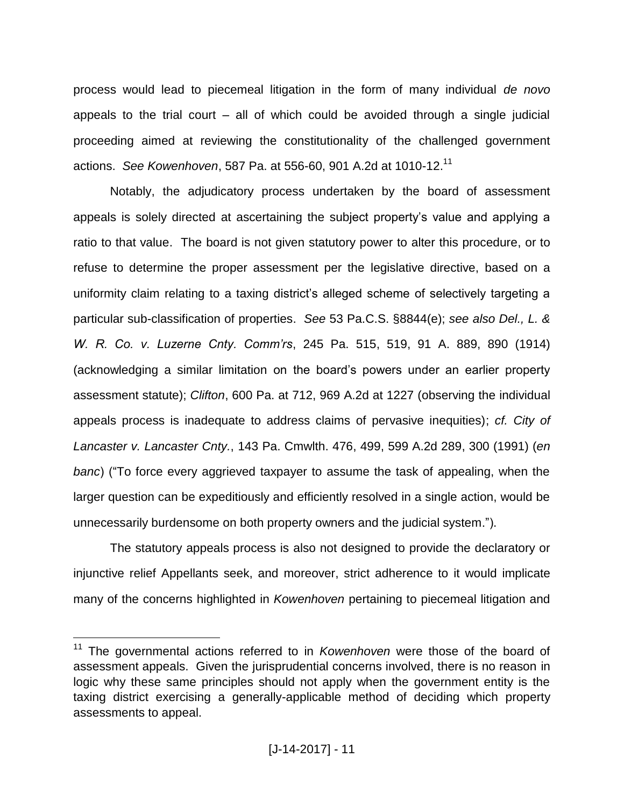process would lead to piecemeal litigation in the form of many individual *de novo* appeals to the trial court  $-$  all of which could be avoided through a single judicial proceeding aimed at reviewing the constitutionality of the challenged government actions. *See Kowenhoven*, 587 Pa. at 556-60, 901 A.2d at 1010-12.<sup>11</sup>

Notably, the adjudicatory process undertaken by the board of assessment appeals is solely directed at ascertaining the subject property's value and applying a ratio to that value. The board is not given statutory power to alter this procedure, or to refuse to determine the proper assessment per the legislative directive, based on a uniformity claim relating to a taxing district's alleged scheme of selectively targeting a particular sub-classification of properties. *See* 53 Pa.C.S. §8844(e); *see also Del., L. & W. R. Co. v. Luzerne Cnty. Comm'rs*, 245 Pa. 515, 519, 91 A. 889, 890 (1914) (acknowledging a similar limitation on the board's powers under an earlier property assessment statute); *Clifton*, 600 Pa. at 712, 969 A.2d at 1227 (observing the individual appeals process is inadequate to address claims of pervasive inequities); *cf. City of Lancaster v. Lancaster Cnty.*, 143 Pa. Cmwlth. 476, 499, 599 A.2d 289, 300 (1991) (*en banc*) ("To force every aggrieved taxpayer to assume the task of appealing, when the larger question can be expeditiously and efficiently resolved in a single action, would be unnecessarily burdensome on both property owners and the judicial system.").

The statutory appeals process is also not designed to provide the declaratory or injunctive relief Appellants seek, and moreover, strict adherence to it would implicate many of the concerns highlighted in *Kowenhoven* pertaining to piecemeal litigation and

<sup>11</sup> The governmental actions referred to in *Kowenhoven* were those of the board of assessment appeals. Given the jurisprudential concerns involved, there is no reason in logic why these same principles should not apply when the government entity is the taxing district exercising a generally-applicable method of deciding which property assessments to appeal.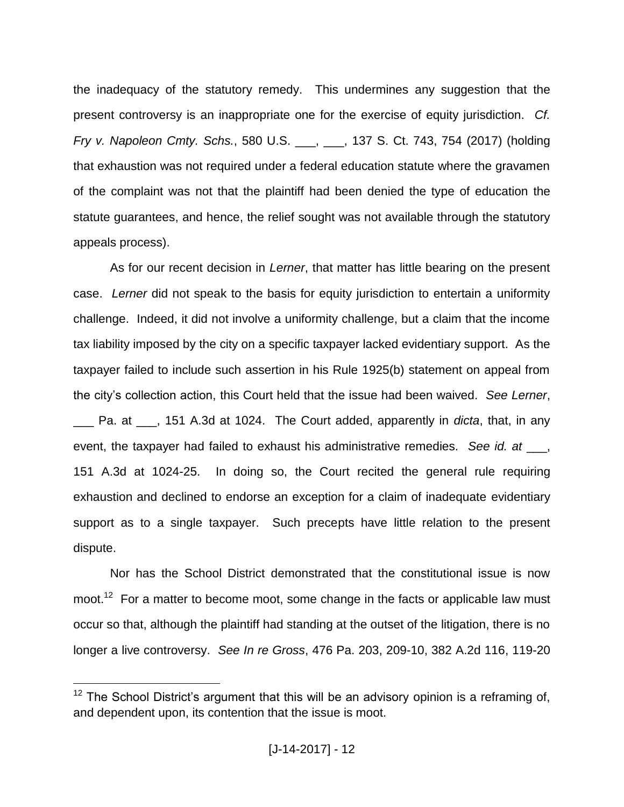the inadequacy of the statutory remedy. This undermines any suggestion that the present controversy is an inappropriate one for the exercise of equity jurisdiction. *Cf. Fry v. Napoleon Cmty. Schs.*, 580 U.S. \_\_\_, \_\_\_, 137 S. Ct. 743, 754 (2017) (holding that exhaustion was not required under a federal education statute where the gravamen of the complaint was not that the plaintiff had been denied the type of education the statute guarantees, and hence, the relief sought was not available through the statutory appeals process).

As for our recent decision in *Lerner*, that matter has little bearing on the present case. *Lerner* did not speak to the basis for equity jurisdiction to entertain a uniformity challenge. Indeed, it did not involve a uniformity challenge, but a claim that the income tax liability imposed by the city on a specific taxpayer lacked evidentiary support. As the taxpayer failed to include such assertion in his Rule 1925(b) statement on appeal from the city's collection action, this Court held that the issue had been waived. *See Lerner*, Pa. at  $\phantom{0}$ , 151 A.3d at 1024. The Court added, apparently in *dicta*, that, in any event, the taxpayer had failed to exhaust his administrative remedies. *See id. at* \_\_\_, 151 A.3d at 1024-25. In doing so, the Court recited the general rule requiring exhaustion and declined to endorse an exception for a claim of inadequate evidentiary support as to a single taxpayer. Such precepts have little relation to the present dispute.

Nor has the School District demonstrated that the constitutional issue is now moot.<sup>12</sup> For a matter to become moot, some change in the facts or applicable law must occur so that, although the plaintiff had standing at the outset of the litigation, there is no longer a live controversy. *See In re Gross*, 476 Pa. 203, 209-10, 382 A.2d 116, 119-20

 $12$  The School District's argument that this will be an advisory opinion is a reframing of, and dependent upon, its contention that the issue is moot.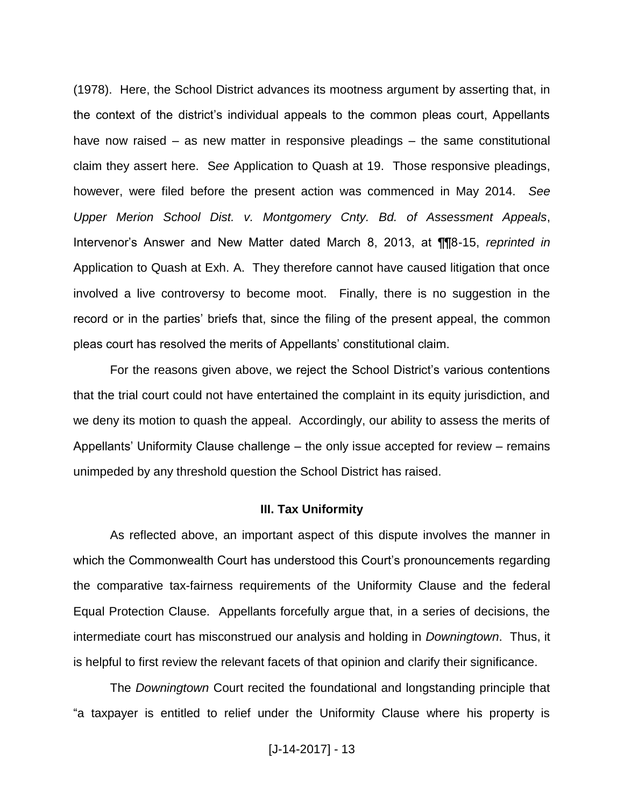(1978). Here, the School District advances its mootness argument by asserting that, in the context of the district's individual appeals to the common pleas court, Appellants have now raised – as new matter in responsive pleadings – the same constitutional claim they assert here. S*ee* Application to Quash at 19. Those responsive pleadings, however, were filed before the present action was commenced in May 2014. *See Upper Merion School Dist. v. Montgomery Cnty. Bd. of Assessment Appeals*, Intervenor's Answer and New Matter dated March 8, 2013, at ¶¶8-15, *reprinted in* Application to Quash at Exh. A. They therefore cannot have caused litigation that once involved a live controversy to become moot. Finally, there is no suggestion in the record or in the parties' briefs that, since the filing of the present appeal, the common pleas court has resolved the merits of Appellants' constitutional claim.

For the reasons given above, we reject the School District's various contentions that the trial court could not have entertained the complaint in its equity jurisdiction, and we deny its motion to quash the appeal. Accordingly, our ability to assess the merits of Appellants' Uniformity Clause challenge – the only issue accepted for review – remains unimpeded by any threshold question the School District has raised.

### **III. Tax Uniformity**

As reflected above, an important aspect of this dispute involves the manner in which the Commonwealth Court has understood this Court's pronouncements regarding the comparative tax-fairness requirements of the Uniformity Clause and the federal Equal Protection Clause. Appellants forcefully argue that, in a series of decisions, the intermediate court has misconstrued our analysis and holding in *Downingtown*. Thus, it is helpful to first review the relevant facets of that opinion and clarify their significance.

The *Downingtown* Court recited the foundational and longstanding principle that "a taxpayer is entitled to relief under the Uniformity Clause where his property is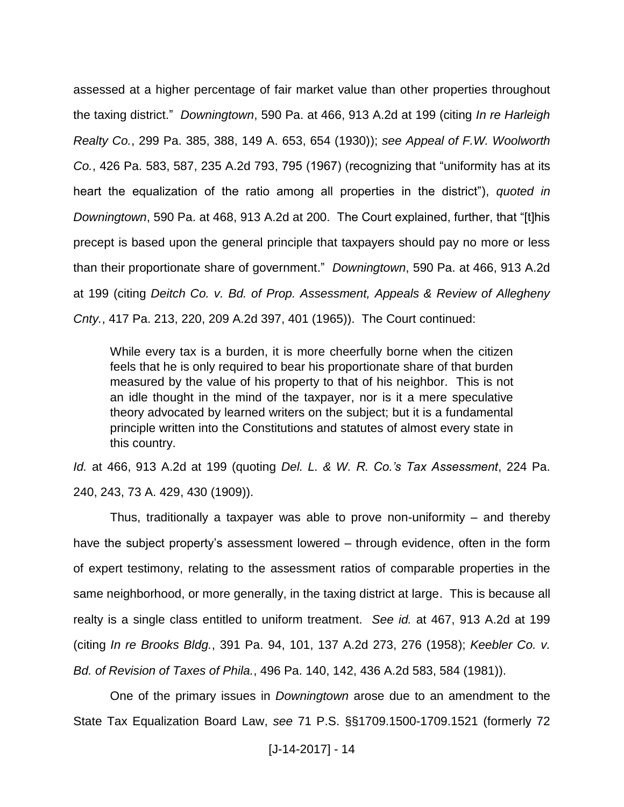assessed at a higher percentage of fair market value than other properties throughout the taxing district." *Downingtown*, 590 Pa. at 466, 913 A.2d at 199 (citing *In re Harleigh Realty Co.*, 299 Pa. 385, 388, 149 A. 653, 654 (1930)); *see Appeal of F.W. Woolworth Co.*, 426 Pa. 583, 587, 235 A.2d 793, 795 (1967) (recognizing that "uniformity has at its heart the equalization of the ratio among all properties in the district"), *quoted in Downingtown*, 590 Pa. at 468, 913 A.2d at 200. The Court explained, further, that "[t]his precept is based upon the general principle that taxpayers should pay no more or less than their proportionate share of government." *Downingtown*, 590 Pa. at 466, 913 A.2d at 199 (citing *Deitch Co. v. Bd. of Prop. Assessment, Appeals & Review of Allegheny Cnty.*, 417 Pa. 213, 220, 209 A.2d 397, 401 (1965)). The Court continued:

While every tax is a burden, it is more cheerfully borne when the citizen feels that he is only required to bear his proportionate share of that burden measured by the value of his property to that of his neighbor. This is not an idle thought in the mind of the taxpayer, nor is it a mere speculative theory advocated by learned writers on the subject; but it is a fundamental principle written into the Constitutions and statutes of almost every state in this country.

*Id.* at 466, 913 A.2d at 199 (quoting *Del. L. & W. R. Co.'s Tax Assessment*, 224 Pa. 240, 243, 73 A. 429, 430 (1909)).

Thus, traditionally a taxpayer was able to prove non-uniformity – and thereby have the subject property's assessment lowered – through evidence, often in the form of expert testimony, relating to the assessment ratios of comparable properties in the same neighborhood, or more generally, in the taxing district at large. This is because all realty is a single class entitled to uniform treatment. *See id.* at 467, 913 A.2d at 199 (citing *In re Brooks Bldg.*, 391 Pa. 94, 101, 137 A.2d 273, 276 (1958); *Keebler Co. v. Bd. of Revision of Taxes of Phila.*, 496 Pa. 140, 142, 436 A.2d 583, 584 (1981)).

One of the primary issues in *Downingtown* arose due to an amendment to the State Tax Equalization Board Law, *see* 71 P.S. §§1709.1500-1709.1521 (formerly 72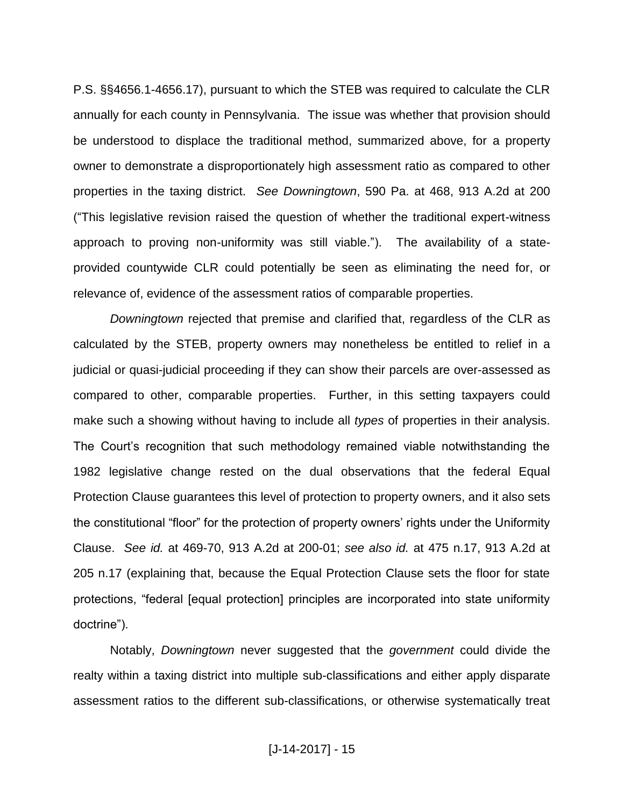P.S. §§4656.1-4656.17), pursuant to which the STEB was required to calculate the CLR annually for each county in Pennsylvania. The issue was whether that provision should be understood to displace the traditional method, summarized above, for a property owner to demonstrate a disproportionately high assessment ratio as compared to other properties in the taxing district. *See Downingtown*, 590 Pa. at 468, 913 A.2d at 200 ("This legislative revision raised the question of whether the traditional expert-witness approach to proving non-uniformity was still viable."). The availability of a stateprovided countywide CLR could potentially be seen as eliminating the need for, or relevance of, evidence of the assessment ratios of comparable properties.

*Downingtown* rejected that premise and clarified that, regardless of the CLR as calculated by the STEB, property owners may nonetheless be entitled to relief in a judicial or quasi-judicial proceeding if they can show their parcels are over-assessed as compared to other, comparable properties. Further, in this setting taxpayers could make such a showing without having to include all *types* of properties in their analysis. The Court's recognition that such methodology remained viable notwithstanding the 1982 legislative change rested on the dual observations that the federal Equal Protection Clause guarantees this level of protection to property owners, and it also sets the constitutional "floor" for the protection of property owners' rights under the Uniformity Clause. *See id.* at 469-70, 913 A.2d at 200-01; *see also id.* at 475 n.17, 913 A.2d at 205 n.17 (explaining that, because the Equal Protection Clause sets the floor for state protections, "federal [equal protection] principles are incorporated into state uniformity doctrine").

Notably, *Downingtown* never suggested that the *government* could divide the realty within a taxing district into multiple sub-classifications and either apply disparate assessment ratios to the different sub-classifications, or otherwise systematically treat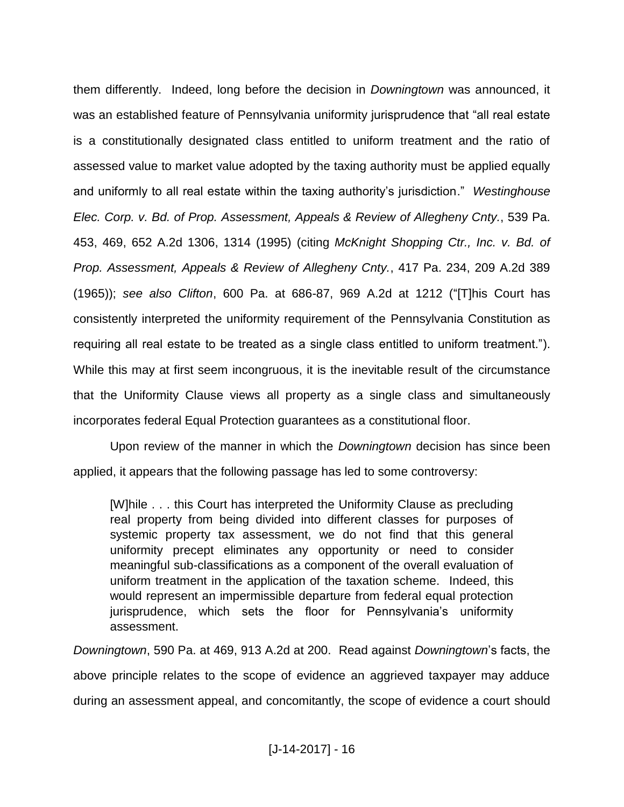them differently. Indeed, long before the decision in *Downingtown* was announced, it was an established feature of Pennsylvania uniformity jurisprudence that "all real estate is a constitutionally designated class entitled to uniform treatment and the ratio of assessed value to market value adopted by the taxing authority must be applied equally and uniformly to all real estate within the taxing authority's jurisdiction." *Westinghouse Elec. Corp. v. Bd. of Prop. Assessment, Appeals & Review of Allegheny Cnty.*, 539 Pa. 453, 469, 652 A.2d 1306, 1314 (1995) (citing *McKnight Shopping Ctr., Inc. v. Bd. of Prop. Assessment, Appeals & Review of Allegheny Cnty.*, 417 Pa. 234, 209 A.2d 389 (1965)); *see also Clifton*, 600 Pa. at 686-87, 969 A.2d at 1212 ("[T]his Court has consistently interpreted the uniformity requirement of the Pennsylvania Constitution as requiring all real estate to be treated as a single class entitled to uniform treatment."). While this may at first seem incongruous, it is the inevitable result of the circumstance that the Uniformity Clause views all property as a single class and simultaneously incorporates federal Equal Protection guarantees as a constitutional floor.

Upon review of the manner in which the *Downingtown* decision has since been applied, it appears that the following passage has led to some controversy:

[W]hile . . . this Court has interpreted the Uniformity Clause as precluding real property from being divided into different classes for purposes of systemic property tax assessment, we do not find that this general uniformity precept eliminates any opportunity or need to consider meaningful sub-classifications as a component of the overall evaluation of uniform treatment in the application of the taxation scheme. Indeed, this would represent an impermissible departure from federal equal protection jurisprudence, which sets the floor for Pennsylvania's uniformity assessment.

*Downingtown*, 590 Pa. at 469, 913 A.2d at 200. Read against *Downingtown*'s facts, the above principle relates to the scope of evidence an aggrieved taxpayer may adduce during an assessment appeal, and concomitantly, the scope of evidence a court should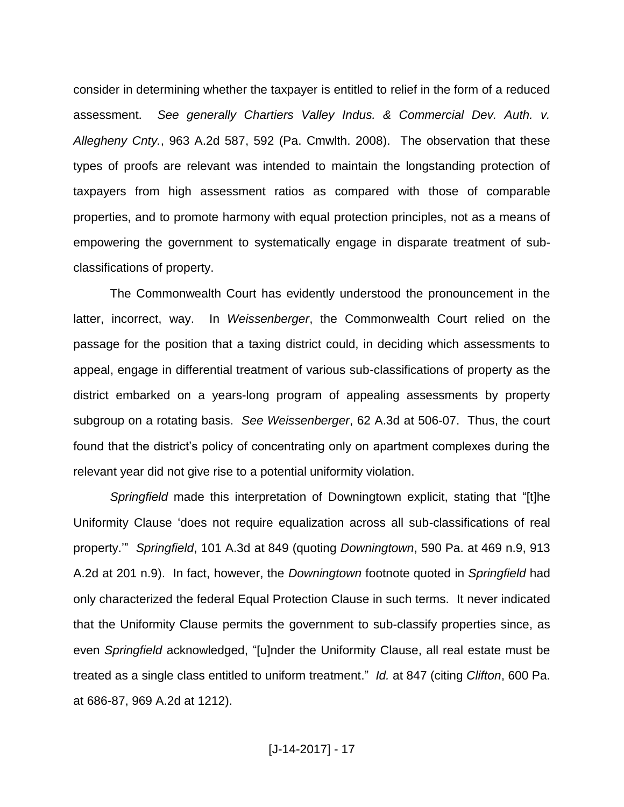consider in determining whether the taxpayer is entitled to relief in the form of a reduced assessment. *See generally Chartiers Valley Indus. & Commercial Dev. Auth. v. Allegheny Cnty.*, 963 A.2d 587, 592 (Pa. Cmwlth. 2008). The observation that these types of proofs are relevant was intended to maintain the longstanding protection of taxpayers from high assessment ratios as compared with those of comparable properties, and to promote harmony with equal protection principles, not as a means of empowering the government to systematically engage in disparate treatment of subclassifications of property.

The Commonwealth Court has evidently understood the pronouncement in the latter, incorrect, way. In *Weissenberger*, the Commonwealth Court relied on the passage for the position that a taxing district could, in deciding which assessments to appeal, engage in differential treatment of various sub-classifications of property as the district embarked on a years-long program of appealing assessments by property subgroup on a rotating basis. *See Weissenberger*, 62 A.3d at 506-07. Thus, the court found that the district's policy of concentrating only on apartment complexes during the relevant year did not give rise to a potential uniformity violation.

*Springfield* made this interpretation of Downingtown explicit, stating that "[t]he Uniformity Clause 'does not require equalization across all sub-classifications of real property.'" *Springfield*, 101 A.3d at 849 (quoting *Downingtown*, 590 Pa. at 469 n.9, 913 A.2d at 201 n.9). In fact, however, the *Downingtown* footnote quoted in *Springfield* had only characterized the federal Equal Protection Clause in such terms. It never indicated that the Uniformity Clause permits the government to sub-classify properties since, as even *Springfield* acknowledged, "[u]nder the Uniformity Clause, all real estate must be treated as a single class entitled to uniform treatment." *Id.* at 847 (citing *Clifton*, 600 Pa. at 686-87, 969 A.2d at 1212).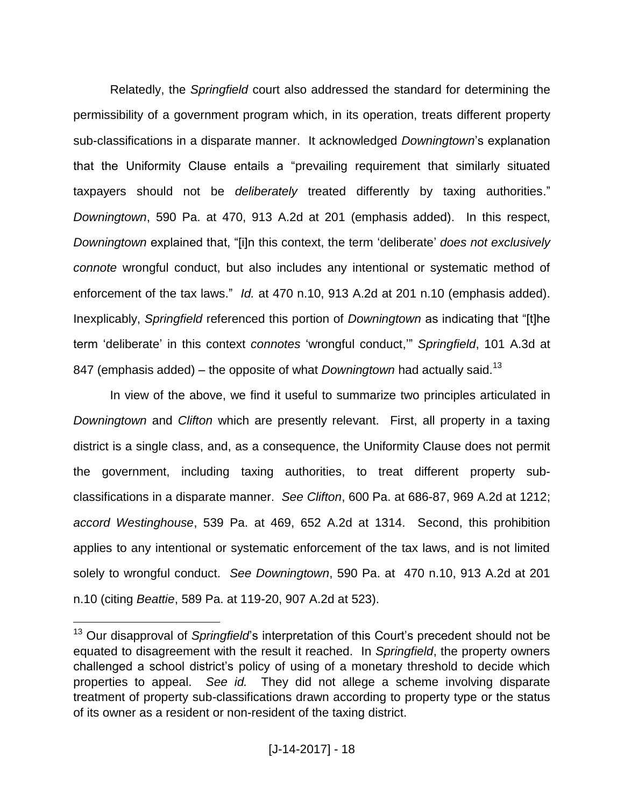Relatedly, the *Springfield* court also addressed the standard for determining the permissibility of a government program which, in its operation, treats different property sub-classifications in a disparate manner. It acknowledged *Downingtown*'s explanation that the Uniformity Clause entails a "prevailing requirement that similarly situated taxpayers should not be *deliberately* treated differently by taxing authorities." *Downingtown*, 590 Pa. at 470, 913 A.2d at 201 (emphasis added). In this respect, *Downingtown* explained that, "[i]n this context, the term 'deliberate' *does not exclusively connote* wrongful conduct, but also includes any intentional or systematic method of enforcement of the tax laws." *Id.* at 470 n.10, 913 A.2d at 201 n.10 (emphasis added). Inexplicably, *Springfield* referenced this portion of *Downingtown* as indicating that "[t]he term 'deliberate' in this context *connotes* 'wrongful conduct,'" *Springfield*, 101 A.3d at 847 (emphasis added) – the opposite of what *Downingtown* had actually said.<sup>13</sup>

In view of the above, we find it useful to summarize two principles articulated in *Downingtown* and *Clifton* which are presently relevant. First, all property in a taxing district is a single class, and, as a consequence, the Uniformity Clause does not permit the government, including taxing authorities, to treat different property subclassifications in a disparate manner. *See Clifton*, 600 Pa. at 686-87, 969 A.2d at 1212; *accord Westinghouse*, 539 Pa. at 469, 652 A.2d at 1314. Second, this prohibition applies to any intentional or systematic enforcement of the tax laws, and is not limited solely to wrongful conduct. *See Downingtown*, 590 Pa. at 470 n.10, 913 A.2d at 201 n.10 (citing *Beattie*, 589 Pa. at 119-20, 907 A.2d at 523).

<sup>&</sup>lt;sup>13</sup> Our disapproval of *Springfield*'s interpretation of this Court's precedent should not be equated to disagreement with the result it reached. In *Springfield*, the property owners challenged a school district's policy of using of a monetary threshold to decide which properties to appeal. *See id.* They did not allege a scheme involving disparate treatment of property sub-classifications drawn according to property type or the status of its owner as a resident or non-resident of the taxing district.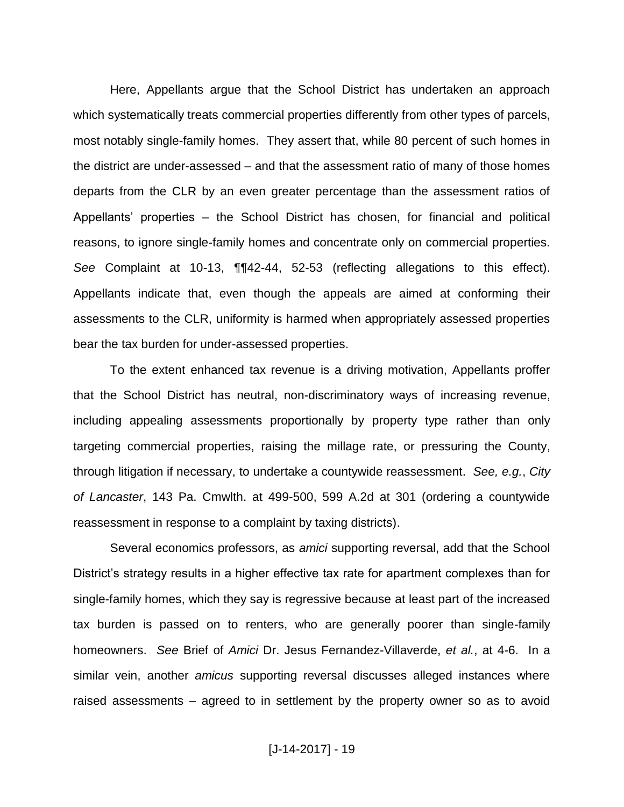Here, Appellants argue that the School District has undertaken an approach which systematically treats commercial properties differently from other types of parcels, most notably single-family homes. They assert that, while 80 percent of such homes in the district are under-assessed – and that the assessment ratio of many of those homes departs from the CLR by an even greater percentage than the assessment ratios of Appellants' properties – the School District has chosen, for financial and political reasons, to ignore single-family homes and concentrate only on commercial properties. *See* Complaint at 10-13, ¶¶42-44, 52-53 (reflecting allegations to this effect). Appellants indicate that, even though the appeals are aimed at conforming their assessments to the CLR, uniformity is harmed when appropriately assessed properties bear the tax burden for under-assessed properties.

To the extent enhanced tax revenue is a driving motivation, Appellants proffer that the School District has neutral, non-discriminatory ways of increasing revenue, including appealing assessments proportionally by property type rather than only targeting commercial properties, raising the millage rate, or pressuring the County, through litigation if necessary, to undertake a countywide reassessment. *See, e.g.*, *City of Lancaster*, 143 Pa. Cmwlth. at 499-500, 599 A.2d at 301 (ordering a countywide reassessment in response to a complaint by taxing districts).

Several economics professors, as *amici* supporting reversal, add that the School District's strategy results in a higher effective tax rate for apartment complexes than for single-family homes, which they say is regressive because at least part of the increased tax burden is passed on to renters, who are generally poorer than single-family homeowners. *See* Brief of *Amici* Dr. Jesus Fernandez-Villaverde, *et al.*, at 4-6. In a similar vein, another *amicus* supporting reversal discusses alleged instances where raised assessments – agreed to in settlement by the property owner so as to avoid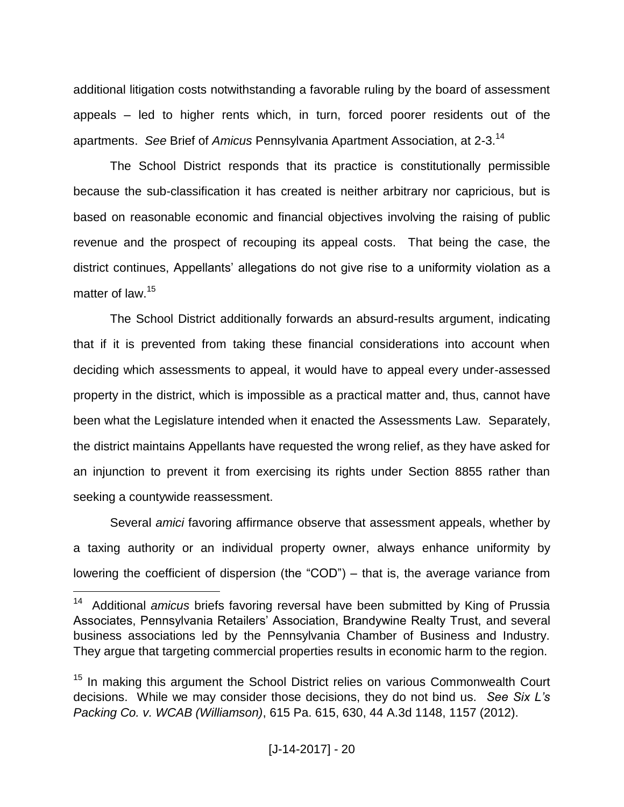additional litigation costs notwithstanding a favorable ruling by the board of assessment appeals – led to higher rents which, in turn, forced poorer residents out of the apartments. *See* Brief of *Amicus* Pennsylvania Apartment Association, at 2-3.<sup>14</sup>

The School District responds that its practice is constitutionally permissible because the sub-classification it has created is neither arbitrary nor capricious, but is based on reasonable economic and financial objectives involving the raising of public revenue and the prospect of recouping its appeal costs. That being the case, the district continues, Appellants' allegations do not give rise to a uniformity violation as a matter of law.<sup>15</sup>

The School District additionally forwards an absurd-results argument, indicating that if it is prevented from taking these financial considerations into account when deciding which assessments to appeal, it would have to appeal every under-assessed property in the district, which is impossible as a practical matter and, thus, cannot have been what the Legislature intended when it enacted the Assessments Law. Separately, the district maintains Appellants have requested the wrong relief, as they have asked for an injunction to prevent it from exercising its rights under Section 8855 rather than seeking a countywide reassessment.

Several *amici* favoring affirmance observe that assessment appeals, whether by a taxing authority or an individual property owner, always enhance uniformity by lowering the coefficient of dispersion (the "COD") – that is, the average variance from

<sup>14</sup> Additional *amicus* briefs favoring reversal have been submitted by King of Prussia Associates, Pennsylvania Retailers' Association, Brandywine Realty Trust, and several business associations led by the Pennsylvania Chamber of Business and Industry. They argue that targeting commercial properties results in economic harm to the region.

<sup>&</sup>lt;sup>15</sup> In making this argument the School District relies on various Commonwealth Court decisions. While we may consider those decisions, they do not bind us. *See Six L's Packing Co. v. WCAB (Williamson)*, 615 Pa. 615, 630, 44 A.3d 1148, 1157 (2012).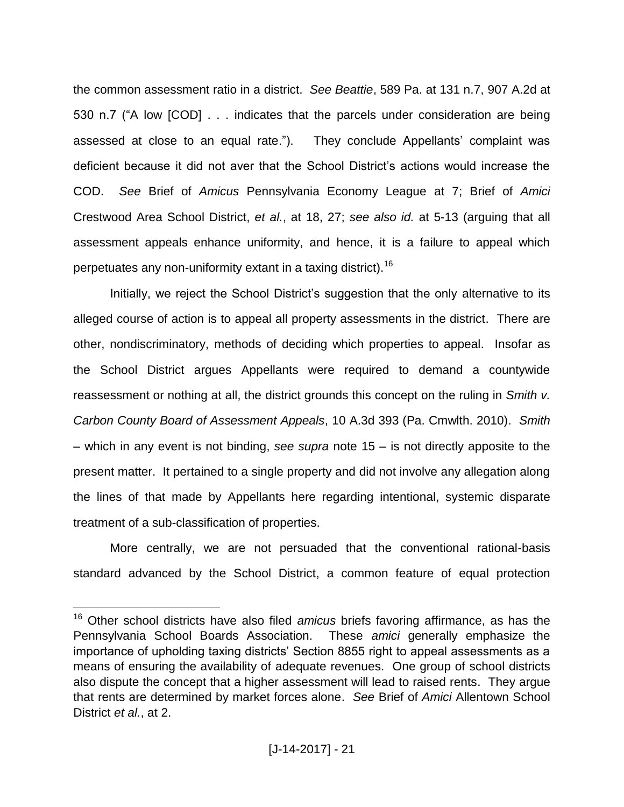the common assessment ratio in a district. *See Beattie*, 589 Pa. at 131 n.7, 907 A.2d at 530 n.7 ("A low [COD] . . . indicates that the parcels under consideration are being assessed at close to an equal rate."). They conclude Appellants' complaint was deficient because it did not aver that the School District's actions would increase the COD. *See* Brief of *Amicus* Pennsylvania Economy League at 7; Brief of *Amici* Crestwood Area School District, *et al.*, at 18, 27; *see also id.* at 5-13 (arguing that all assessment appeals enhance uniformity, and hence, it is a failure to appeal which perpetuates any non-uniformity extant in a taxing district).<sup>16</sup>

Initially, we reject the School District's suggestion that the only alternative to its alleged course of action is to appeal all property assessments in the district. There are other, nondiscriminatory, methods of deciding which properties to appeal. Insofar as the School District argues Appellants were required to demand a countywide reassessment or nothing at all, the district grounds this concept on the ruling in *Smith v. Carbon County Board of Assessment Appeals*, 10 A.3d 393 (Pa. Cmwlth. 2010). *Smith* – which in any event is not binding, *see supra* note 15 – is not directly apposite to the present matter. It pertained to a single property and did not involve any allegation along the lines of that made by Appellants here regarding intentional, systemic disparate treatment of a sub-classification of properties.

More centrally, we are not persuaded that the conventional rational-basis standard advanced by the School District, a common feature of equal protection

<sup>16</sup> Other school districts have also filed *amicus* briefs favoring affirmance, as has the Pennsylvania School Boards Association. These *amici* generally emphasize the importance of upholding taxing districts' Section 8855 right to appeal assessments as a means of ensuring the availability of adequate revenues. One group of school districts also dispute the concept that a higher assessment will lead to raised rents. They argue that rents are determined by market forces alone. *See* Brief of *Amici* Allentown School District *et al.*, at 2.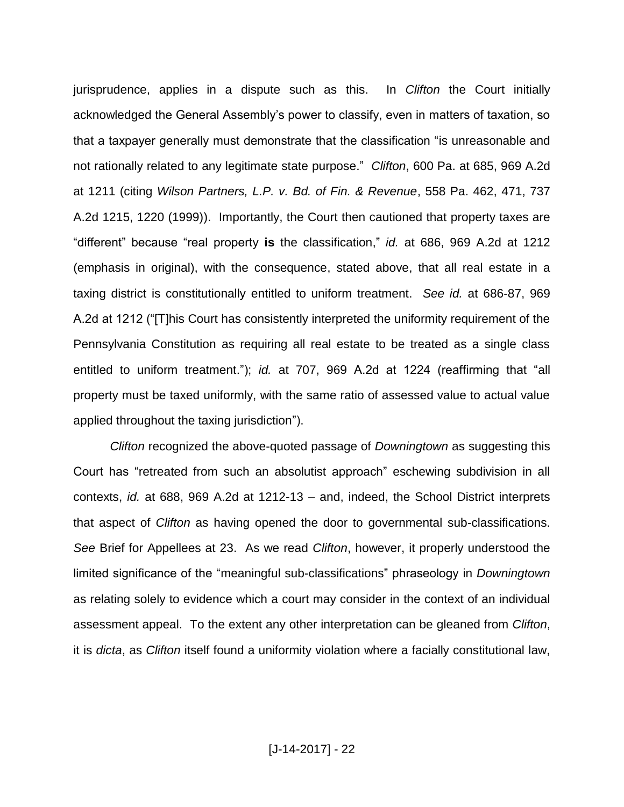jurisprudence, applies in a dispute such as this. In *Clifton* the Court initially acknowledged the General Assembly's power to classify, even in matters of taxation, so that a taxpayer generally must demonstrate that the classification "is unreasonable and not rationally related to any legitimate state purpose." *Clifton*, 600 Pa. at 685, 969 A.2d at 1211 (citing *Wilson Partners, L.P. v. Bd. of Fin. & Revenue*, 558 Pa. 462, 471, 737 A.2d 1215, 1220 (1999)). Importantly, the Court then cautioned that property taxes are "different" because "real property **is** the classification," *id.* at 686, 969 A.2d at 1212 (emphasis in original), with the consequence, stated above, that all real estate in a taxing district is constitutionally entitled to uniform treatment. *See id.* at 686-87, 969 A.2d at 1212 ("[T]his Court has consistently interpreted the uniformity requirement of the Pennsylvania Constitution as requiring all real estate to be treated as a single class entitled to uniform treatment."); *id.* at 707, 969 A.2d at 1224 (reaffirming that "all property must be taxed uniformly, with the same ratio of assessed value to actual value applied throughout the taxing jurisdiction").

*Clifton* recognized the above-quoted passage of *Downingtown* as suggesting this Court has "retreated from such an absolutist approach" eschewing subdivision in all contexts, *id.* at 688, 969 A.2d at 1212-13 – and, indeed, the School District interprets that aspect of *Clifton* as having opened the door to governmental sub-classifications. *See* Brief for Appellees at 23. As we read *Clifton*, however, it properly understood the limited significance of the "meaningful sub-classifications" phraseology in *Downingtown* as relating solely to evidence which a court may consider in the context of an individual assessment appeal. To the extent any other interpretation can be gleaned from *Clifton*, it is *dicta*, as *Clifton* itself found a uniformity violation where a facially constitutional law,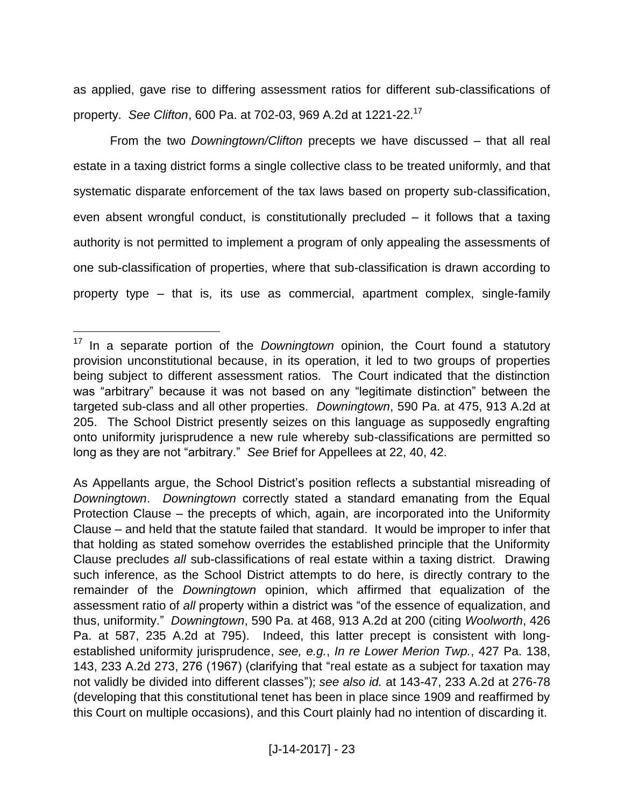as applied, gave rise to differing assessment ratios for different sub-classifications of property. *See Clifton*, 600 Pa. at 702-03, 969 A.2d at 1221-22.<sup>17</sup>

From the two *Downingtown/Clifton* precepts we have discussed – that all real estate in a taxing district forms a single collective class to be treated uniformly, and that systematic disparate enforcement of the tax laws based on property sub-classification, even absent wrongful conduct, is constitutionally precluded – it follows that a taxing authority is not permitted to implement a program of only appealing the assessments of one sub-classification of properties, where that sub-classification is drawn according to property type – that is, its use as commercial, apartment complex, single-family

<sup>17</sup> In a separate portion of the *Downingtown* opinion, the Court found a statutory provision unconstitutional because, in its operation, it led to two groups of properties being subject to different assessment ratios. The Court indicated that the distinction was "arbitrary" because it was not based on any "legitimate distinction" between the targeted sub-class and all other properties. *Downingtown*, 590 Pa. at 475, 913 A.2d at 205. The School District presently seizes on this language as supposedly engrafting onto uniformity jurisprudence a new rule whereby sub-classifications are permitted so long as they are not "arbitrary." *See* Brief for Appellees at 22, 40, 42.

As Appellants argue, the School District's position reflects a substantial misreading of *Downingtown*. *Downingtown* correctly stated a standard emanating from the Equal Protection Clause – the precepts of which, again, are incorporated into the Uniformity Clause – and held that the statute failed that standard. It would be improper to infer that that holding as stated somehow overrides the established principle that the Uniformity Clause precludes *all* sub-classifications of real estate within a taxing district. Drawing such inference, as the School District attempts to do here, is directly contrary to the remainder of the *Downingtown* opinion, which affirmed that equalization of the assessment ratio of *all* property within a district was "of the essence of equalization, and thus, uniformity." *Downingtown*, 590 Pa. at 468, 913 A.2d at 200 (citing *Woolworth*, 426 Pa. at 587, 235 A.2d at 795). Indeed, this latter precept is consistent with longestablished uniformity jurisprudence, *see, e.g.*, *In re Lower Merion Twp.*, 427 Pa. 138, 143, 233 A.2d 273, 276 (1967) (clarifying that "real estate as a subject for taxation may not validly be divided into different classes"); *see also id.* at 143-47, 233 A.2d at 276-78 (developing that this constitutional tenet has been in place since 1909 and reaffirmed by this Court on multiple occasions), and this Court plainly had no intention of discarding it.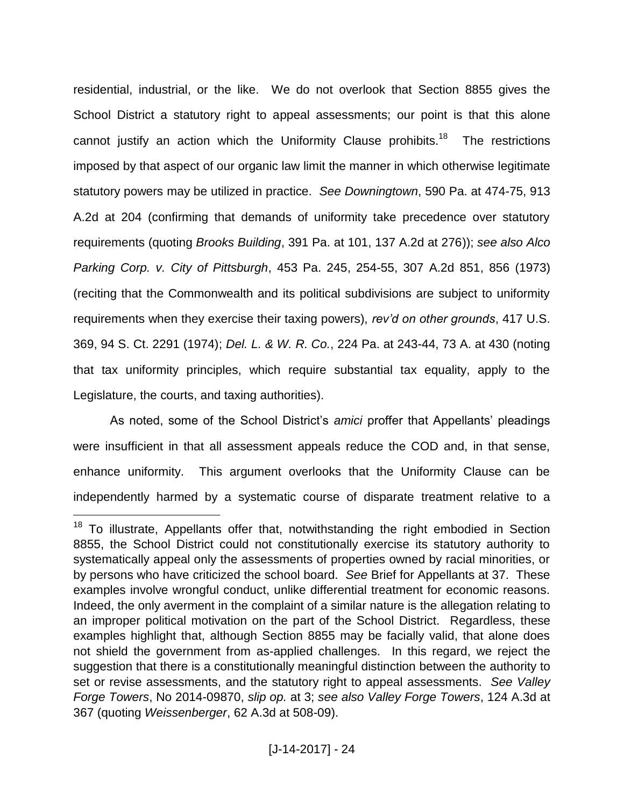residential, industrial, or the like. We do not overlook that Section 8855 gives the School District a statutory right to appeal assessments; our point is that this alone cannot justify an action which the Uniformity Clause prohibits.<sup>18</sup> The restrictions imposed by that aspect of our organic law limit the manner in which otherwise legitimate statutory powers may be utilized in practice. *See Downingtown*, 590 Pa. at 474-75, 913 A.2d at 204 (confirming that demands of uniformity take precedence over statutory requirements (quoting *Brooks Building*, 391 Pa. at 101, 137 A.2d at 276)); *see also Alco Parking Corp. v. City of Pittsburgh*, 453 Pa. 245, 254-55, 307 A.2d 851, 856 (1973) (reciting that the Commonwealth and its political subdivisions are subject to uniformity requirements when they exercise their taxing powers), *rev'd on other grounds*, 417 U.S. 369, 94 S. Ct. 2291 (1974); *Del. L. & W. R. Co.*, 224 Pa. at 243-44, 73 A. at 430 (noting that tax uniformity principles, which require substantial tax equality, apply to the Legislature, the courts, and taxing authorities).

As noted, some of the School District's *amici* proffer that Appellants' pleadings were insufficient in that all assessment appeals reduce the COD and, in that sense, enhance uniformity. This argument overlooks that the Uniformity Clause can be independently harmed by a systematic course of disparate treatment relative to a

 $18$  To illustrate, Appellants offer that, notwithstanding the right embodied in Section 8855, the School District could not constitutionally exercise its statutory authority to systematically appeal only the assessments of properties owned by racial minorities, or by persons who have criticized the school board. *See* Brief for Appellants at 37. These examples involve wrongful conduct, unlike differential treatment for economic reasons. Indeed, the only averment in the complaint of a similar nature is the allegation relating to an improper political motivation on the part of the School District. Regardless, these examples highlight that, although Section 8855 may be facially valid, that alone does not shield the government from as-applied challenges. In this regard, we reject the suggestion that there is a constitutionally meaningful distinction between the authority to set or revise assessments, and the statutory right to appeal assessments. *See Valley Forge Towers*, No 2014-09870, *slip op.* at 3; *see also Valley Forge Towers*, 124 A.3d at 367 (quoting *Weissenberger*, 62 A.3d at 508-09).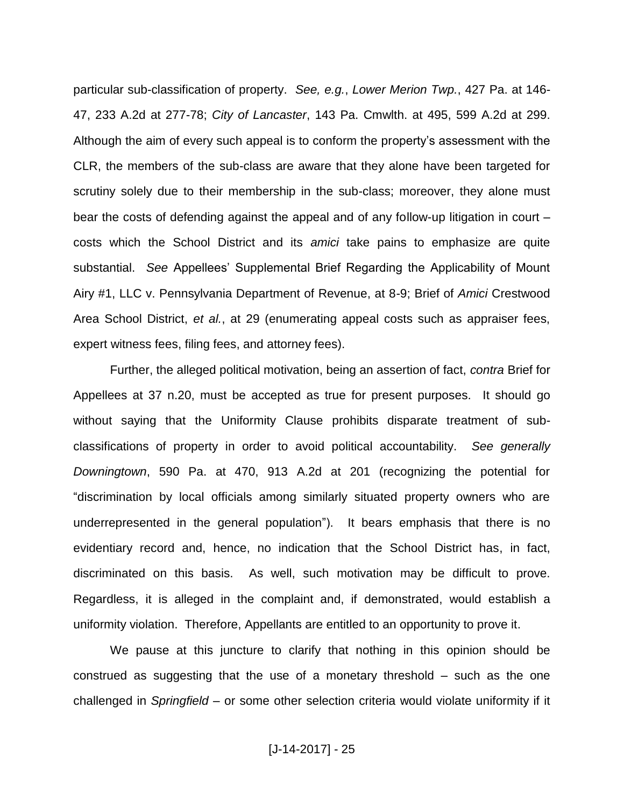particular sub-classification of property. *See, e.g.*, *Lower Merion Twp.*, 427 Pa. at 146- 47, 233 A.2d at 277-78; *City of Lancaster*, 143 Pa. Cmwlth. at 495, 599 A.2d at 299. Although the aim of every such appeal is to conform the property's assessment with the CLR, the members of the sub-class are aware that they alone have been targeted for scrutiny solely due to their membership in the sub-class; moreover, they alone must bear the costs of defending against the appeal and of any follow-up litigation in court – costs which the School District and its *amici* take pains to emphasize are quite substantial. *See* Appellees' Supplemental Brief Regarding the Applicability of Mount Airy #1, LLC v. Pennsylvania Department of Revenue, at 8-9; Brief of *Amici* Crestwood Area School District, *et al.*, at 29 (enumerating appeal costs such as appraiser fees, expert witness fees, filing fees, and attorney fees).

Further, the alleged political motivation, being an assertion of fact, *contra* Brief for Appellees at 37 n.20, must be accepted as true for present purposes. It should go without saying that the Uniformity Clause prohibits disparate treatment of subclassifications of property in order to avoid political accountability. *See generally Downingtown*, 590 Pa. at 470, 913 A.2d at 201 (recognizing the potential for "discrimination by local officials among similarly situated property owners who are underrepresented in the general population"). It bears emphasis that there is no evidentiary record and, hence, no indication that the School District has, in fact, discriminated on this basis. As well, such motivation may be difficult to prove. Regardless, it is alleged in the complaint and, if demonstrated, would establish a uniformity violation. Therefore, Appellants are entitled to an opportunity to prove it.

We pause at this juncture to clarify that nothing in this opinion should be construed as suggesting that the use of a monetary threshold – such as the one challenged in *Springfield* – or some other selection criteria would violate uniformity if it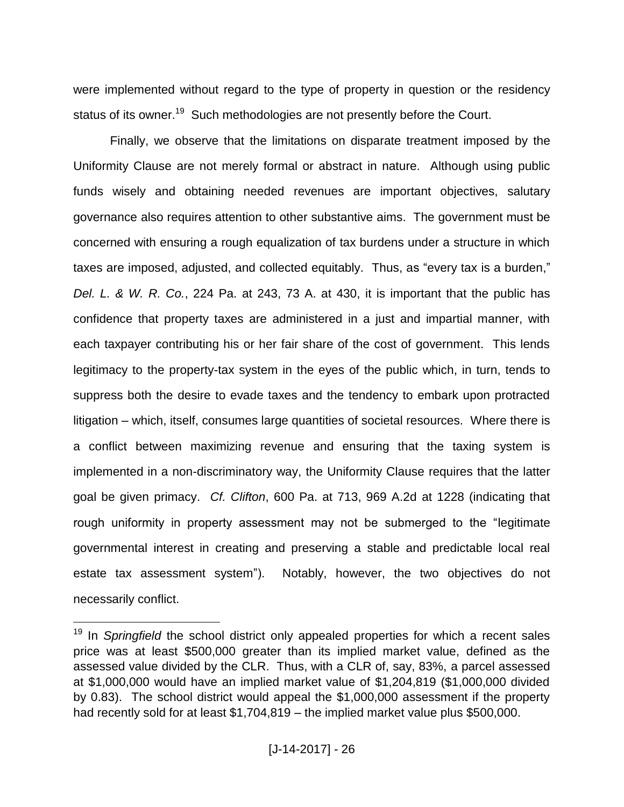were implemented without regard to the type of property in question or the residency status of its owner.<sup>19</sup> Such methodologies are not presently before the Court.

Finally, we observe that the limitations on disparate treatment imposed by the Uniformity Clause are not merely formal or abstract in nature. Although using public funds wisely and obtaining needed revenues are important objectives, salutary governance also requires attention to other substantive aims. The government must be concerned with ensuring a rough equalization of tax burdens under a structure in which taxes are imposed, adjusted, and collected equitably. Thus, as "every tax is a burden," *Del. L. & W. R. Co.*, 224 Pa. at 243, 73 A. at 430, it is important that the public has confidence that property taxes are administered in a just and impartial manner, with each taxpayer contributing his or her fair share of the cost of government. This lends legitimacy to the property-tax system in the eyes of the public which, in turn, tends to suppress both the desire to evade taxes and the tendency to embark upon protracted litigation – which, itself, consumes large quantities of societal resources. Where there is a conflict between maximizing revenue and ensuring that the taxing system is implemented in a non-discriminatory way, the Uniformity Clause requires that the latter goal be given primacy. *Cf. Clifton*, 600 Pa. at 713, 969 A.2d at 1228 (indicating that rough uniformity in property assessment may not be submerged to the "legitimate governmental interest in creating and preserving a stable and predictable local real estate tax assessment system"). Notably, however, the two objectives do not necessarily conflict.

<sup>&</sup>lt;sup>19</sup> In Springfield the school district only appealed properties for which a recent sales price was at least \$500,000 greater than its implied market value, defined as the assessed value divided by the CLR. Thus, with a CLR of, say, 83%, a parcel assessed at \$1,000,000 would have an implied market value of \$1,204,819 (\$1,000,000 divided by 0.83). The school district would appeal the \$1,000,000 assessment if the property had recently sold for at least \$1,704,819 – the implied market value plus \$500,000.